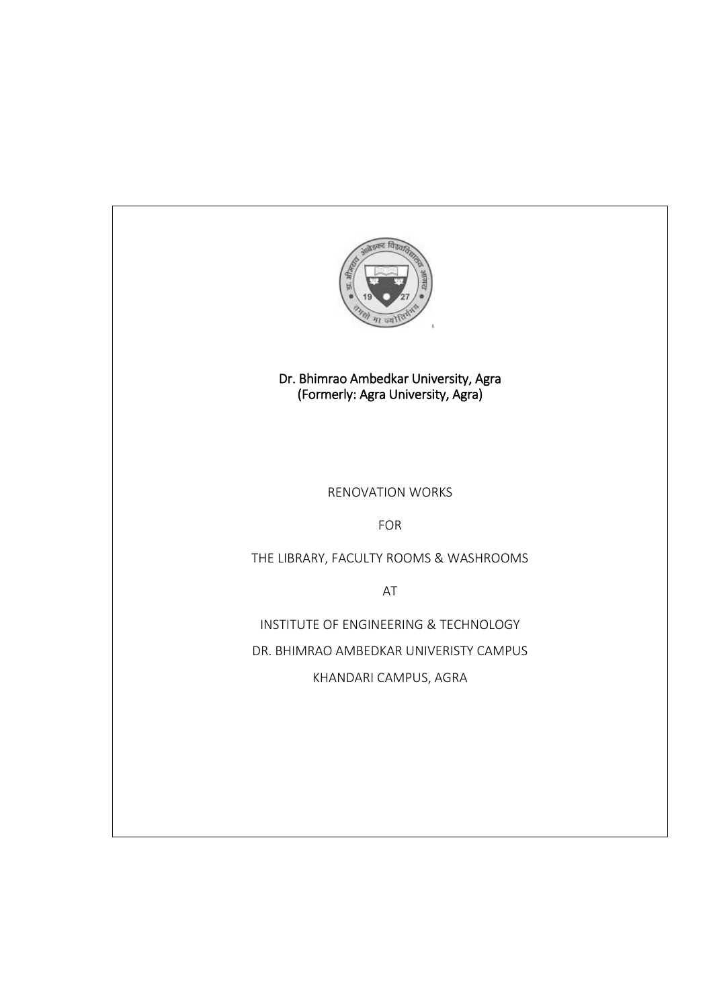

I

Dr. Bhimrao Ambedkar University, Agra (Formerly: Agra University, Agra)

# RENOVATION WORKS

FOR

THE LIBRARY, FACULTY ROOMS & WASHROOMS

AT

INSTITUTE OF ENGINEERING & TECHNOLOGY DR. BHIMRAO AMBEDKAR UNIVERISTY CAMPUS

KHANDARI CAMPUS, AGRA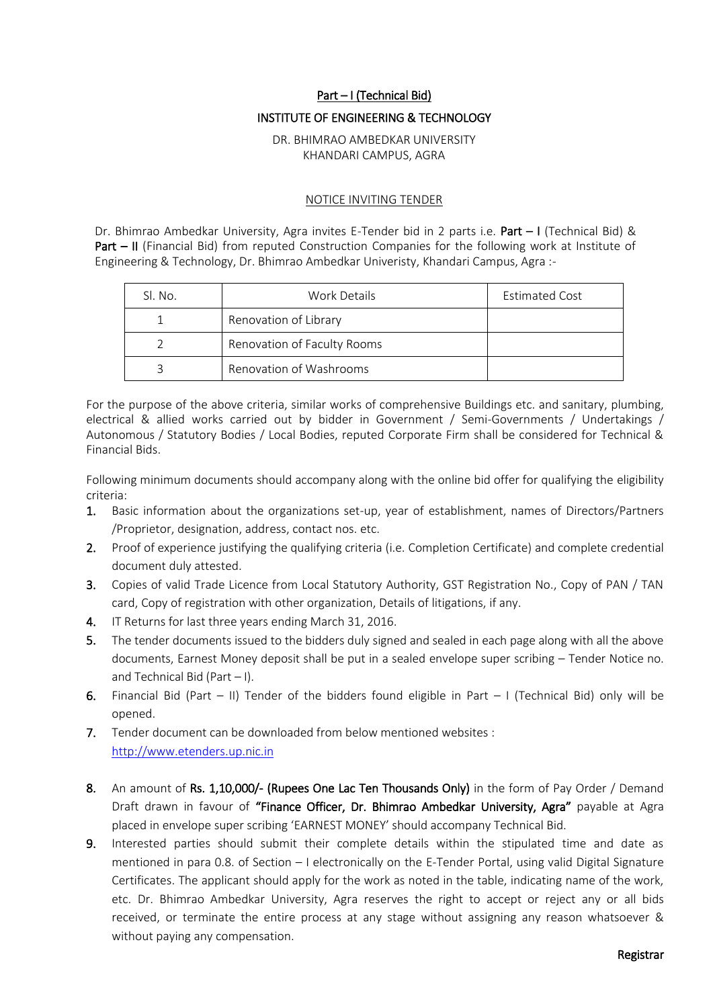#### Part – I (Technical Bid)

#### INSTITUTE OF ENGINEERING & TECHNOLOGY

#### DR. BHIMRAO AMBEDKAR UNIVERSITY KHANDARI CAMPUS, AGRA

#### NOTICE INVITING TENDER

Dr. Bhimrao Ambedkar University, Agra invites E-Tender bid in 2 parts i.e. Part - I (Technical Bid) & Part – II (Financial Bid) from reputed Construction Companies for the following work at Institute of Engineering & Technology, Dr. Bhimrao Ambedkar Univeristy, Khandari Campus, Agra :-

| Sl. No. | Work Details                | <b>Estimated Cost</b> |
|---------|-----------------------------|-----------------------|
|         | Renovation of Library       |                       |
|         | Renovation of Faculty Rooms |                       |
|         | Renovation of Washrooms     |                       |

For the purpose of the above criteria, similar works of comprehensive Buildings etc. and sanitary, plumbing, electrical & allied works carried out by bidder in Government / Semi-Governments / Undertakings / Autonomous / Statutory Bodies / Local Bodies, reputed Corporate Firm shall be considered for Technical & Financial Bids.

Following minimum documents should accompany along with the online bid offer for qualifying the eligibility criteria:

- 1. Basic information about the organizations set-up, year of establishment, names of Directors/Partners /Proprietor, designation, address, contact nos. etc.
- 2. Proof of experience justifying the qualifying criteria (i.e. Completion Certificate) and complete credential document duly attested.
- 3. Copies of valid Trade Licence from Local Statutory Authority, GST Registration No., Copy of PAN / TAN card, Copy of registration with other organization, Details of litigations, if any.
- 4. IT Returns for last three years ending March 31, 2016.
- 5. The tender documents issued to the bidders duly signed and sealed in each page along with all the above documents, Earnest Money deposit shall be put in a sealed envelope super scribing – Tender Notice no. and Technical Bid (Part – I).
- 6. Financial Bid (Part II) Tender of the bidders found eligible in Part I (Technical Bid) only will be opened.
- 7. Tender document can be downloaded from below mentioned websites : [http://www.etenders.up.nic.in](http://www.tenders.gov.in/)
- 8. An amount of Rs. 1,10,000/- (Rupees One Lac Ten Thousands Only) in the form of Pay Order / Demand Draft drawn in favour of "Finance Officer, Dr. Bhimrao Ambedkar University, Agra" payable at Agra placed in envelope super scribing 'EARNEST MONEY' should accompany Technical Bid.
- 9. Interested parties should submit their complete details within the stipulated time and date as mentioned in para 0.8. of Section – I electronically on the E-Tender Portal, using valid Digital Signature Certificates. The applicant should apply for the work as noted in the table, indicating name of the work, etc. Dr. Bhimrao Ambedkar University, Agra reserves the right to accept or reject any or all bids received, or terminate the entire process at any stage without assigning any reason whatsoever & without paying any compensation.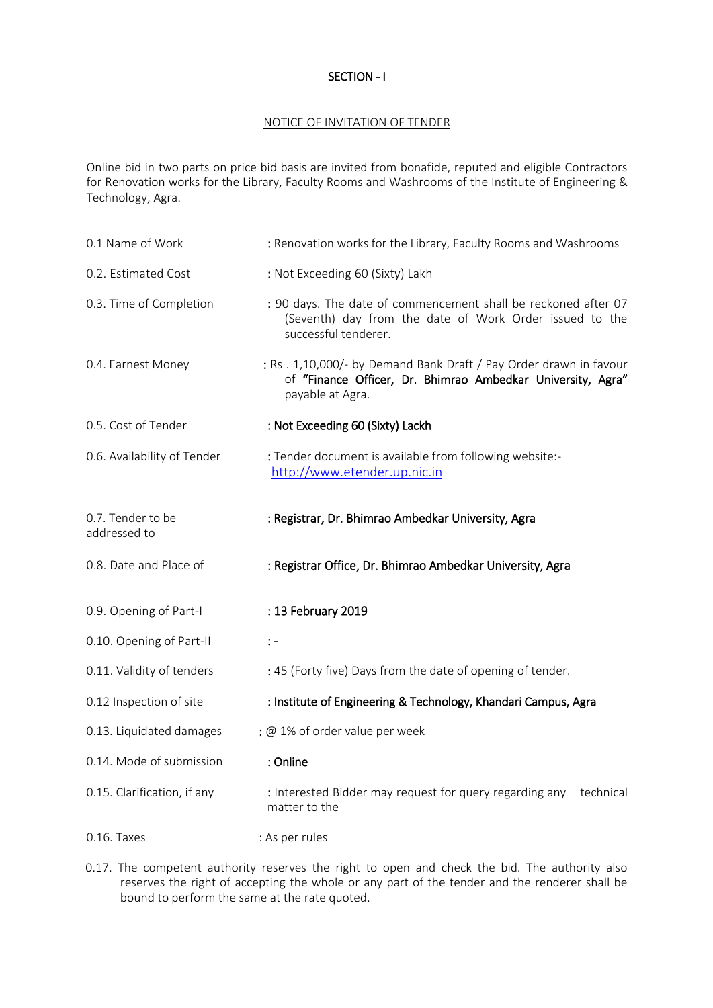### SECTION - I

### NOTICE OF INVITATION OF TENDER

Online bid in two parts on price bid basis are invited from bonafide, reputed and eligible Contractors for Renovation works for the Library, Faculty Rooms and Washrooms of the Institute of Engineering & Technology, Agra.

| 0.1 Name of Work                  | : Renovation works for the Library, Faculty Rooms and Washrooms                                                                                      |
|-----------------------------------|------------------------------------------------------------------------------------------------------------------------------------------------------|
| 0.2. Estimated Cost               | : Not Exceeding 60 (Sixty) Lakh                                                                                                                      |
| 0.3. Time of Completion           | : 90 days. The date of commencement shall be reckoned after 07<br>(Seventh) day from the date of Work Order issued to the<br>successful tenderer.    |
| 0.4. Earnest Money                | : Rs. 1,10,000/- by Demand Bank Draft / Pay Order drawn in favour<br>of "Finance Officer, Dr. Bhimrao Ambedkar University, Agra"<br>payable at Agra. |
| 0.5. Cost of Tender               | : Not Exceeding 60 (Sixty) Lackh                                                                                                                     |
| 0.6. Availability of Tender       | : Tender document is available from following website:-<br>http://www.etender.up.nic.in                                                              |
| 0.7. Tender to be<br>addressed to | : Registrar, Dr. Bhimrao Ambedkar University, Agra                                                                                                   |
| 0.8. Date and Place of            | : Registrar Office, Dr. Bhimrao Ambedkar University, Agra                                                                                            |
| 0.9. Opening of Part-I            | : 13 February 2019                                                                                                                                   |
| 0.10. Opening of Part-II          | $\colon$ -                                                                                                                                           |
| 0.11. Validity of tenders         | : 45 (Forty five) Days from the date of opening of tender.                                                                                           |
| 0.12 Inspection of site           | : Institute of Engineering & Technology, Khandari Campus, Agra                                                                                       |
| 0.13. Liquidated damages          | : @ 1% of order value per week                                                                                                                       |
| 0.14. Mode of submission          | : Online                                                                                                                                             |
| 0.15. Clarification, if any       | : Interested Bidder may request for query regarding any<br>technical<br>matter to the                                                                |
| $0.16.$ Taxes                     | : As per rules                                                                                                                                       |

<sup>0.17.</sup> The competent authority reserves the right to open and check the bid. The authority also reserves the right of accepting the whole or any part of the tender and the renderer shall be bound to perform the same at the rate quoted.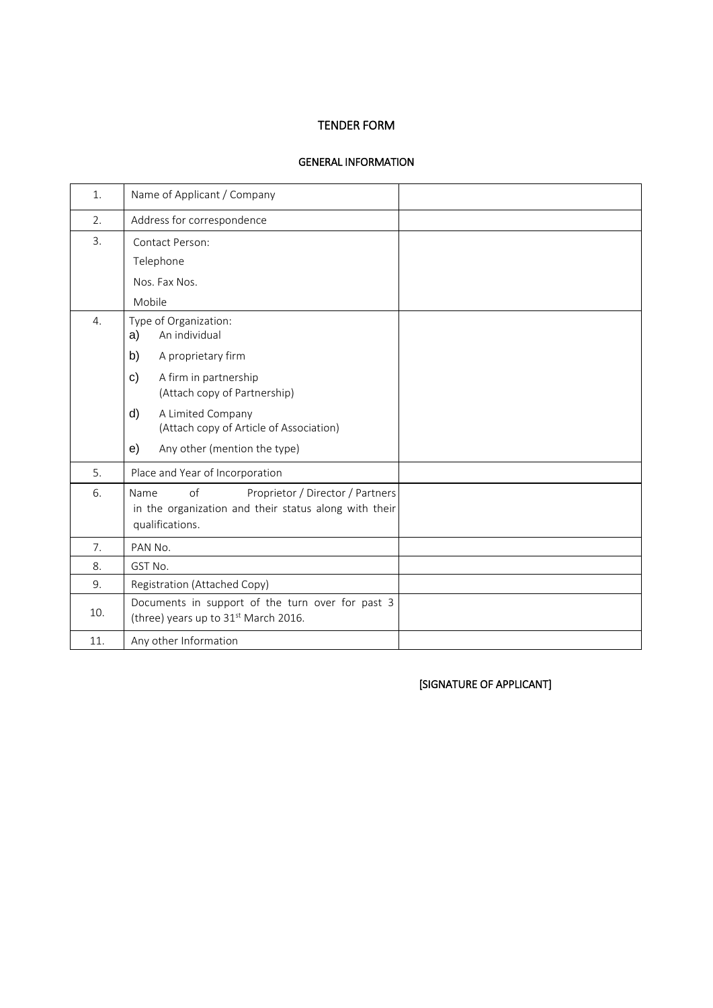# TENDER FORM

#### GENERAL INFORMATION

| 1.               | Name of Applicant / Company                                                                                                |  |
|------------------|----------------------------------------------------------------------------------------------------------------------------|--|
| 2.               | Address for correspondence                                                                                                 |  |
| 3.               | Contact Person:                                                                                                            |  |
|                  | Telephone                                                                                                                  |  |
|                  | Nos. Fax Nos.                                                                                                              |  |
|                  | Mobile                                                                                                                     |  |
| $\overline{4}$ . | Type of Organization:<br>An individual<br>a)                                                                               |  |
|                  | A proprietary firm<br>b)                                                                                                   |  |
|                  | c)<br>A firm in partnership<br>(Attach copy of Partnership)                                                                |  |
|                  | d)<br>A Limited Company<br>(Attach copy of Article of Association)                                                         |  |
|                  | e)<br>Any other (mention the type)                                                                                         |  |
| 5.               | Place and Year of Incorporation                                                                                            |  |
| 6.               | of<br>Proprietor / Director / Partners<br>Name<br>in the organization and their status along with their<br>qualifications. |  |
| 7.               | PAN No.                                                                                                                    |  |
| 8.               | GST No.                                                                                                                    |  |
| 9.               | Registration (Attached Copy)                                                                                               |  |
| 10.              | Documents in support of the turn over for past 3<br>(three) years up to 31 <sup>st</sup> March 2016.                       |  |
| 11.              | Any other Information                                                                                                      |  |

[SIGNATURE OF APPLICANT]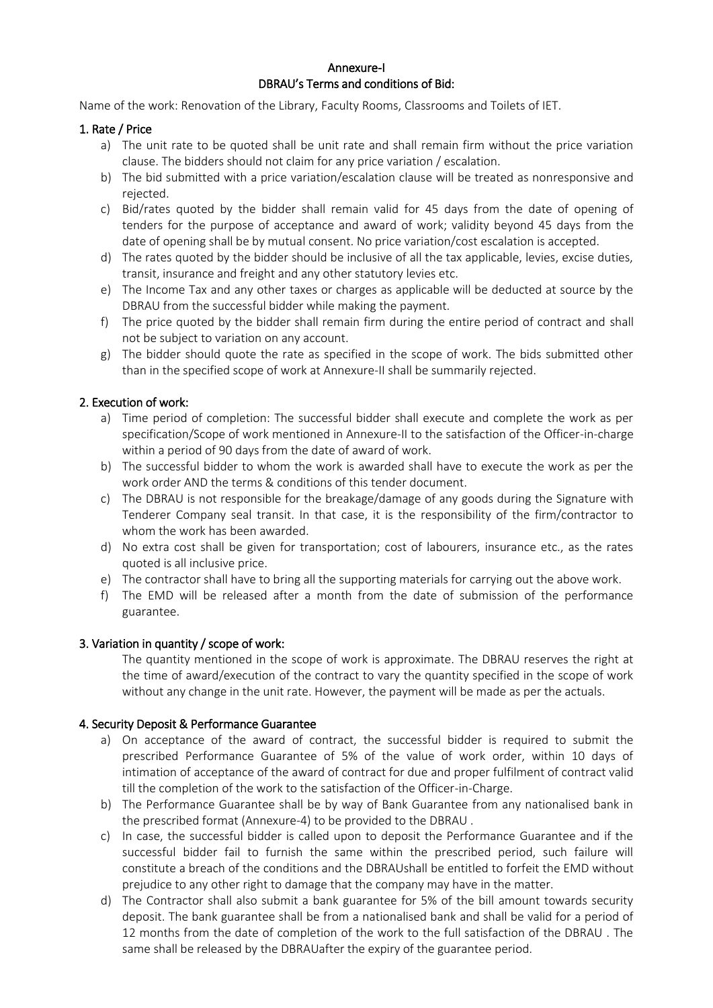### Annexure-I DBRAU's Terms and conditions of Bid:

Name of the work: Renovation of the Library, Faculty Rooms, Classrooms and Toilets of IET.

### 1. Rate / Price

- a) The unit rate to be quoted shall be unit rate and shall remain firm without the price variation clause. The bidders should not claim for any price variation / escalation.
- b) The bid submitted with a price variation/escalation clause will be treated as nonresponsive and rejected.
- c) Bid/rates quoted by the bidder shall remain valid for 45 days from the date of opening of tenders for the purpose of acceptance and award of work; validity beyond 45 days from the date of opening shall be by mutual consent. No price variation/cost escalation is accepted.
- d) The rates quoted by the bidder should be inclusive of all the tax applicable, levies, excise duties, transit, insurance and freight and any other statutory levies etc.
- e) The Income Tax and any other taxes or charges as applicable will be deducted at source by the DBRAU from the successful bidder while making the payment.
- f) The price quoted by the bidder shall remain firm during the entire period of contract and shall not be subject to variation on any account.
- g) The bidder should quote the rate as specified in the scope of work. The bids submitted other than in the specified scope of work at Annexure-II shall be summarily rejected.

# 2. Execution of work:

- a) Time period of completion: The successful bidder shall execute and complete the work as per specification/Scope of work mentioned in Annexure-II to the satisfaction of the Officer-in-charge within a period of 90 days from the date of award of work.
- b) The successful bidder to whom the work is awarded shall have to execute the work as per the work order AND the terms & conditions of this tender document.
- c) The DBRAU is not responsible for the breakage/damage of any goods during the Signature with Tenderer Company seal transit. In that case, it is the responsibility of the firm/contractor to whom the work has been awarded.
- d) No extra cost shall be given for transportation; cost of labourers, insurance etc., as the rates quoted is all inclusive price.
- e) The contractor shall have to bring all the supporting materials for carrying out the above work.
- f) The EMD will be released after a month from the date of submission of the performance guarantee.

# 3. Variation in quantity / scope of work:

The quantity mentioned in the scope of work is approximate. The DBRAU reserves the right at the time of award/execution of the contract to vary the quantity specified in the scope of work without any change in the unit rate. However, the payment will be made as per the actuals.

# 4. Security Deposit & Performance Guarantee

- a) On acceptance of the award of contract, the successful bidder is required to submit the prescribed Performance Guarantee of 5% of the value of work order, within 10 days of intimation of acceptance of the award of contract for due and proper fulfilment of contract valid till the completion of the work to the satisfaction of the Officer-in-Charge.
- b) The Performance Guarantee shall be by way of Bank Guarantee from any nationalised bank in the prescribed format (Annexure-4) to be provided to the DBRAU .
- c) In case, the successful bidder is called upon to deposit the Performance Guarantee and if the successful bidder fail to furnish the same within the prescribed period, such failure will constitute a breach of the conditions and the DBRAUshall be entitled to forfeit the EMD without prejudice to any other right to damage that the company may have in the matter.
- d) The Contractor shall also submit a bank guarantee for 5% of the bill amount towards security deposit. The bank guarantee shall be from a nationalised bank and shall be valid for a period of 12 months from the date of completion of the work to the full satisfaction of the DBRAU . The same shall be released by the DBRAUafter the expiry of the guarantee period.